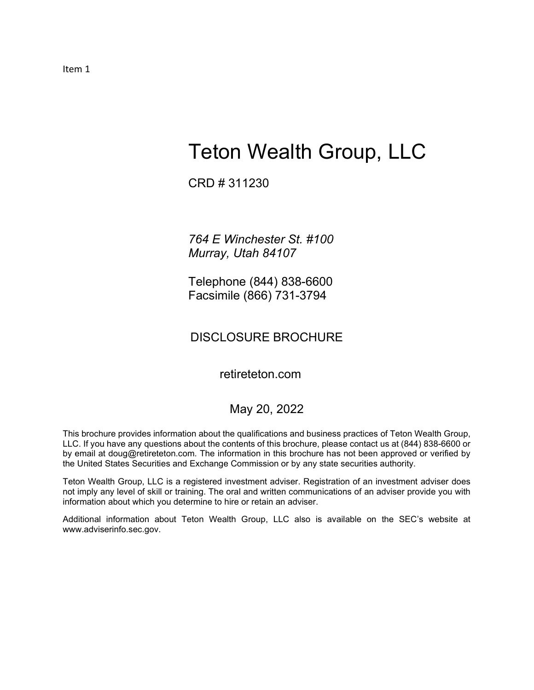Item 1

# Teton Wealth Group, LLC

CRD # 311230

764 E Winchester St. #100 Murray, Utah 84107

Telephone (844) 838-6600 Facsimile (866) 731-3794

# DISCLOSURE BROCHURE

retireteton.com

# May 20, 2022

This brochure provides information about the qualifications and business practices of Teton Wealth Group, LLC. If you have any questions about the contents of this brochure, please contact us at (844) 838-6600 or by email at doug@retireteton.com. The information in this brochure has not been approved or verified by the United States Securities and Exchange Commission or by any state securities authority.

Teton Wealth Group, LLC is a registered investment adviser. Registration of an investment adviser does not imply any level of skill or training. The oral and written communications of an adviser provide you with information about which you determine to hire or retain an adviser.

Additional information about Teton Wealth Group, LLC also is available on the SEC's website at www.adviserinfo.sec.gov.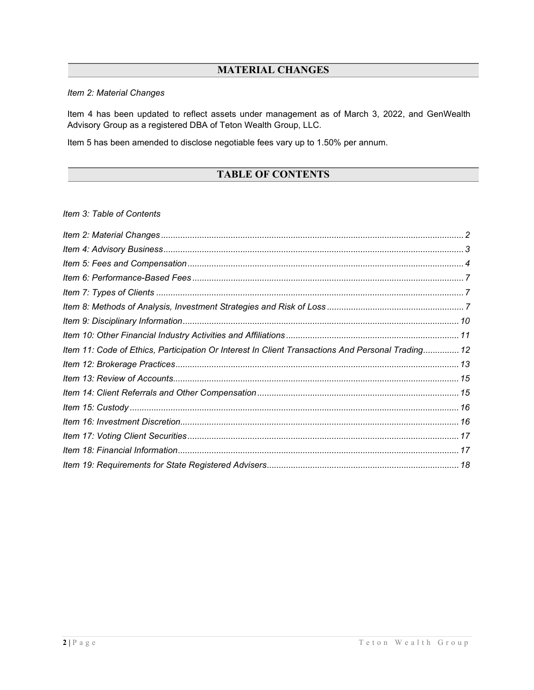# MATERIAL CHANGES

# Item 2: Material Changes

Item 4 has been updated to reflect assets under management as of March 3, 2022, and GenWealth Advisory Group as a registered DBA of Teton Wealth Group, LLC.

Item 5 has been amended to disclose negotiable fees vary up to 1.50% per annum.

# TABLE OF CONTENTS

Item 3: Table of Contents

| Item 11: Code of Ethics, Participation Or Interest In Client Transactions And Personal Trading 12 |  |
|---------------------------------------------------------------------------------------------------|--|
|                                                                                                   |  |
|                                                                                                   |  |
|                                                                                                   |  |
|                                                                                                   |  |
|                                                                                                   |  |
|                                                                                                   |  |
|                                                                                                   |  |
|                                                                                                   |  |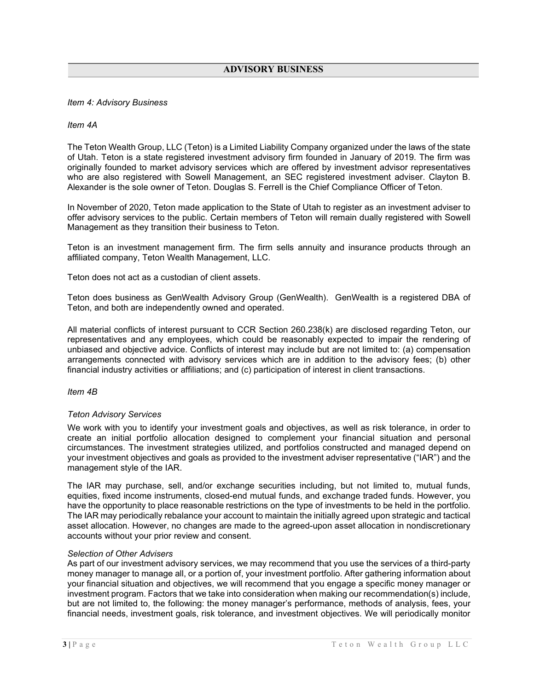# Item 4: Advisory Business

## Item 4A

The Teton Wealth Group, LLC (Teton) is a Limited Liability Company organized under the laws of the state of Utah. Teton is a state registered investment advisory firm founded in January of 2019. The firm was originally founded to market advisory services which are offered by investment advisor representatives who are also registered with Sowell Management, an SEC registered investment adviser. Clayton B. Alexander is the sole owner of Teton. Douglas S. Ferrell is the Chief Compliance Officer of Teton.

In November of 2020, Teton made application to the State of Utah to register as an investment adviser to offer advisory services to the public. Certain members of Teton will remain dually registered with Sowell Management as they transition their business to Teton.

Teton is an investment management firm. The firm sells annuity and insurance products through an affiliated company, Teton Wealth Management, LLC.

Teton does not act as a custodian of client assets.

Teton does business as GenWealth Advisory Group (GenWealth). GenWealth is a registered DBA of Teton, and both are independently owned and operated.

All material conflicts of interest pursuant to CCR Section 260.238(k) are disclosed regarding Teton, our representatives and any employees, which could be reasonably expected to impair the rendering of unbiased and objective advice. Conflicts of interest may include but are not limited to: (a) compensation arrangements connected with advisory services which are in addition to the advisory fees; (b) other financial industry activities or affiliations; and (c) participation of interest in client transactions.

Item 4B

## Teton Advisory Services

We work with you to identify your investment goals and objectives, as well as risk tolerance, in order to create an initial portfolio allocation designed to complement your financial situation and personal circumstances. The investment strategies utilized, and portfolios constructed and managed depend on your investment objectives and goals as provided to the investment adviser representative ("IAR") and the management style of the IAR.

The IAR may purchase, sell, and/or exchange securities including, but not limited to, mutual funds, equities, fixed income instruments, closed-end mutual funds, and exchange traded funds. However, you have the opportunity to place reasonable restrictions on the type of investments to be held in the portfolio. The IAR may periodically rebalance your account to maintain the initially agreed upon strategic and tactical asset allocation. However, no changes are made to the agreed-upon asset allocation in nondiscretionary accounts without your prior review and consent.

## Selection of Other Advisers

As part of our investment advisory services, we may recommend that you use the services of a third-party money manager to manage all, or a portion of, your investment portfolio. After gathering information about your financial situation and objectives, we will recommend that you engage a specific money manager or investment program. Factors that we take into consideration when making our recommendation(s) include, but are not limited to, the following: the money manager's performance, methods of analysis, fees, your financial needs, investment goals, risk tolerance, and investment objectives. We will periodically monitor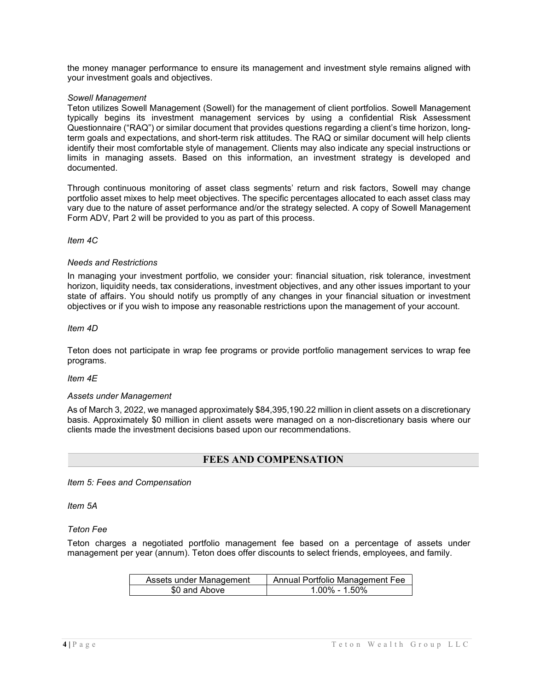the money manager performance to ensure its management and investment style remains aligned with your investment goals and objectives.

# Sowell Management

Teton utilizes Sowell Management (Sowell) for the management of client portfolios. Sowell Management typically begins its investment management services by using a confidential Risk Assessment Questionnaire ("RAQ") or similar document that provides questions regarding a client's time horizon, longterm goals and expectations, and short-term risk attitudes. The RAQ or similar document will help clients identify their most comfortable style of management. Clients may also indicate any special instructions or limits in managing assets. Based on this information, an investment strategy is developed and documented.

Through continuous monitoring of asset class segments' return and risk factors, Sowell may change portfolio asset mixes to help meet objectives. The specific percentages allocated to each asset class may vary due to the nature of asset performance and/or the strategy selected. A copy of Sowell Management Form ADV, Part 2 will be provided to you as part of this process.

Item 4C

## Needs and Restrictions

In managing your investment portfolio, we consider your: financial situation, risk tolerance, investment horizon, liquidity needs, tax considerations, investment objectives, and any other issues important to your state of affairs. You should notify us promptly of any changes in your financial situation or investment objectives or if you wish to impose any reasonable restrictions upon the management of your account.

Item 4D

Teton does not participate in wrap fee programs or provide portfolio management services to wrap fee programs.

Item 4E

## Assets under Management

As of March 3, 2022, we managed approximately \$84,395,190.22 million in client assets on a discretionary basis. Approximately \$0 million in client assets were managed on a non-discretionary basis where our clients made the investment decisions based upon our recommendations.

# FEES AND COMPENSATION

Item 5: Fees and Compensation

Item 5A

Teton Fee

Teton charges a negotiated portfolio management fee based on a percentage of assets under management per year (annum). Teton does offer discounts to select friends, employees, and family.

| Assets under Management | Annual Portfolio Management Fee |
|-------------------------|---------------------------------|
| \$0 and Above           | $1.00\%$ - 1.50%                |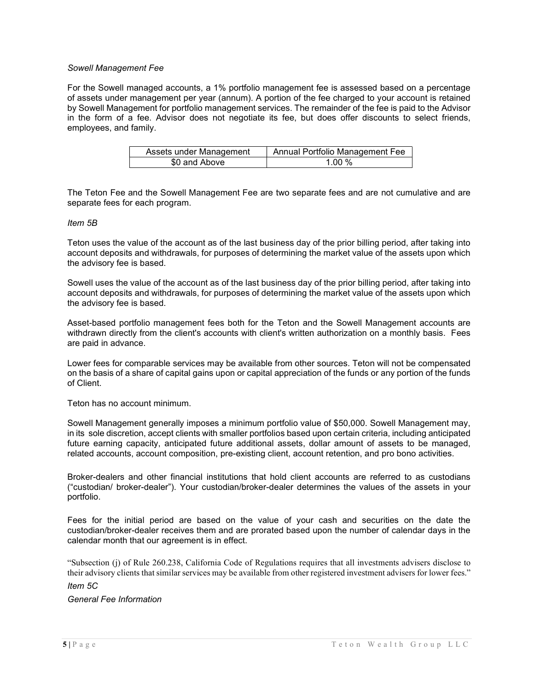# Sowell Management Fee

For the Sowell managed accounts, a 1% portfolio management fee is assessed based on a percentage of assets under management per year (annum). A portion of the fee charged to your account is retained by Sowell Management for portfolio management services. The remainder of the fee is paid to the Advisor in the form of a fee. Advisor does not negotiate its fee, but does offer discounts to select friends, employees, and family.

| Assets under Management | Annual Portfolio Management Fee |
|-------------------------|---------------------------------|
| \$0 and Above           | 1 00 %                          |

The Teton Fee and the Sowell Management Fee are two separate fees and are not cumulative and are separate fees for each program.

#### Item 5B

Teton uses the value of the account as of the last business day of the prior billing period, after taking into account deposits and withdrawals, for purposes of determining the market value of the assets upon which the advisory fee is based.

Sowell uses the value of the account as of the last business day of the prior billing period, after taking into account deposits and withdrawals, for purposes of determining the market value of the assets upon which the advisory fee is based.

Asset-based portfolio management fees both for the Teton and the Sowell Management accounts are withdrawn directly from the client's accounts with client's written authorization on a monthly basis. Fees are paid in advance.

Lower fees for comparable services may be available from other sources. Teton will not be compensated on the basis of a share of capital gains upon or capital appreciation of the funds or any portion of the funds of Client.

Teton has no account minimum.

Sowell Management generally imposes a minimum portfolio value of \$50,000. Sowell Management may, in its sole discretion, accept clients with smaller portfolios based upon certain criteria, including anticipated future earning capacity, anticipated future additional assets, dollar amount of assets to be managed, related accounts, account composition, pre-existing client, account retention, and pro bono activities.

Broker-dealers and other financial institutions that hold client accounts are referred to as custodians ("custodian/ broker-dealer"). Your custodian/broker-dealer determines the values of the assets in your portfolio.

Fees for the initial period are based on the value of your cash and securities on the date the custodian/broker-dealer receives them and are prorated based upon the number of calendar days in the calendar month that our agreement is in effect.

"Subsection (j) of Rule 260.238, California Code of Regulations requires that all investments advisers disclose to their advisory clients that similar services may be available from other registered investment advisers for lower fees." Item 5C

General Fee Information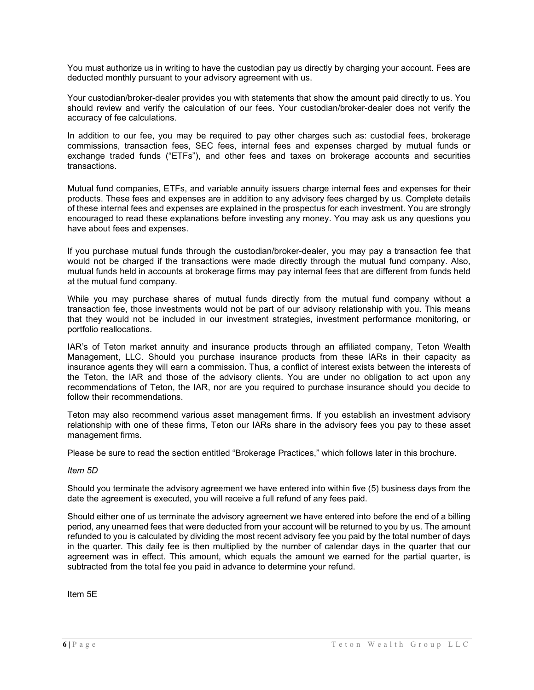You must authorize us in writing to have the custodian pay us directly by charging your account. Fees are deducted monthly pursuant to your advisory agreement with us.

Your custodian/broker-dealer provides you with statements that show the amount paid directly to us. You should review and verify the calculation of our fees. Your custodian/broker-dealer does not verify the accuracy of fee calculations.

In addition to our fee, you may be required to pay other charges such as: custodial fees, brokerage commissions, transaction fees, SEC fees, internal fees and expenses charged by mutual funds or exchange traded funds ("ETFs"), and other fees and taxes on brokerage accounts and securities transactions.

Mutual fund companies, ETFs, and variable annuity issuers charge internal fees and expenses for their products. These fees and expenses are in addition to any advisory fees charged by us. Complete details of these internal fees and expenses are explained in the prospectus for each investment. You are strongly encouraged to read these explanations before investing any money. You may ask us any questions you have about fees and expenses.

If you purchase mutual funds through the custodian/broker-dealer, you may pay a transaction fee that would not be charged if the transactions were made directly through the mutual fund company. Also, mutual funds held in accounts at brokerage firms may pay internal fees that are different from funds held at the mutual fund company.

While you may purchase shares of mutual funds directly from the mutual fund company without a transaction fee, those investments would not be part of our advisory relationship with you. This means that they would not be included in our investment strategies, investment performance monitoring, or portfolio reallocations.

IAR's of Teton market annuity and insurance products through an affiliated company, Teton Wealth Management, LLC. Should you purchase insurance products from these IARs in their capacity as insurance agents they will earn a commission. Thus, a conflict of interest exists between the interests of the Teton, the IAR and those of the advisory clients. You are under no obligation to act upon any recommendations of Teton, the IAR, nor are you required to purchase insurance should you decide to follow their recommendations.

Teton may also recommend various asset management firms. If you establish an investment advisory relationship with one of these firms, Teton our IARs share in the advisory fees you pay to these asset management firms.

Please be sure to read the section entitled "Brokerage Practices," which follows later in this brochure.

## Item 5D

Should you terminate the advisory agreement we have entered into within five (5) business days from the date the agreement is executed, you will receive a full refund of any fees paid.

Should either one of us terminate the advisory agreement we have entered into before the end of a billing period, any unearned fees that were deducted from your account will be returned to you by us. The amount refunded to you is calculated by dividing the most recent advisory fee you paid by the total number of days in the quarter. This daily fee is then multiplied by the number of calendar days in the quarter that our agreement was in effect. This amount, which equals the amount we earned for the partial quarter, is subtracted from the total fee you paid in advance to determine your refund.

Item 5E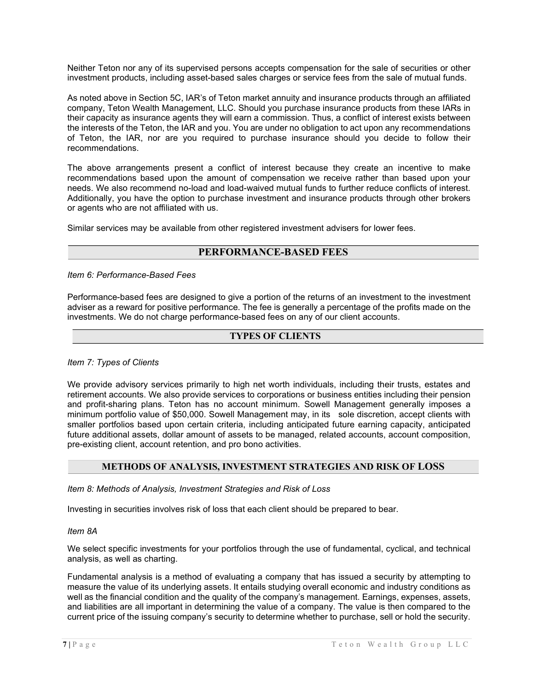Neither Teton nor any of its supervised persons accepts compensation for the sale of securities or other investment products, including asset-based sales charges or service fees from the sale of mutual funds.

As noted above in Section 5C, IAR's of Teton market annuity and insurance products through an affiliated company, Teton Wealth Management, LLC. Should you purchase insurance products from these IARs in their capacity as insurance agents they will earn a commission. Thus, a conflict of interest exists between the interests of the Teton, the IAR and you. You are under no obligation to act upon any recommendations of Teton, the IAR, nor are you required to purchase insurance should you decide to follow their recommendations.

The above arrangements present a conflict of interest because they create an incentive to make recommendations based upon the amount of compensation we receive rather than based upon your needs. We also recommend no-load and load-waived mutual funds to further reduce conflicts of interest. Additionally, you have the option to purchase investment and insurance products through other brokers or agents who are not affiliated with us.

Similar services may be available from other registered investment advisers for lower fees.

# PERFORMANCE-BASED FEES

Item 6: Performance-Based Fees

Performance-based fees are designed to give a portion of the returns of an investment to the investment adviser as a reward for positive performance. The fee is generally a percentage of the profits made on the investments. We do not charge performance-based fees on any of our client accounts.

# TYPES OF CLIENTS

# Item 7: Types of Clients

We provide advisory services primarily to high net worth individuals, including their trusts, estates and retirement accounts. We also provide services to corporations or business entities including their pension and profit-sharing plans. Teton has no account minimum. Sowell Management generally imposes a minimum portfolio value of \$50,000. Sowell Management may, in its sole discretion, accept clients with smaller portfolios based upon certain criteria, including anticipated future earning capacity, anticipated future additional assets, dollar amount of assets to be managed, related accounts, account composition, pre-existing client, account retention, and pro bono activities.

# METHODS OF ANALYSIS, INVESTMENT STRATEGIES AND RISK OF LOSS

Item 8: Methods of Analysis, Investment Strategies and Risk of Loss

Investing in securities involves risk of loss that each client should be prepared to bear.

Item 8A

We select specific investments for your portfolios through the use of fundamental, cyclical, and technical analysis, as well as charting.

Fundamental analysis is a method of evaluating a company that has issued a security by attempting to measure the value of its underlying assets. It entails studying overall economic and industry conditions as well as the financial condition and the quality of the company's management. Earnings, expenses, assets, and liabilities are all important in determining the value of a company. The value is then compared to the current price of the issuing company's security to determine whether to purchase, sell or hold the security.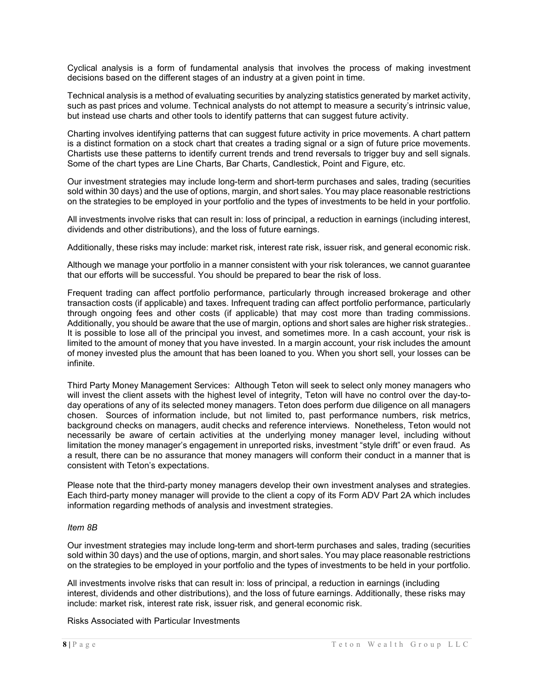Cyclical analysis is a form of fundamental analysis that involves the process of making investment decisions based on the different stages of an industry at a given point in time.

Technical analysis is a method of evaluating securities by analyzing statistics generated by market activity, such as past prices and volume. Technical analysts do not attempt to measure a security's intrinsic value, but instead use charts and other tools to identify patterns that can suggest future activity.

Charting involves identifying patterns that can suggest future activity in price movements. A chart pattern is a distinct formation on a stock chart that creates a trading signal or a sign of future price movements. Chartists use these patterns to identify current trends and trend reversals to trigger buy and sell signals. Some of the chart types are Line Charts, Bar Charts, Candlestick, Point and Figure, etc.

Our investment strategies may include long-term and short-term purchases and sales, trading (securities sold within 30 days) and the use of options, margin, and short sales. You may place reasonable restrictions on the strategies to be employed in your portfolio and the types of investments to be held in your portfolio.

All investments involve risks that can result in: loss of principal, a reduction in earnings (including interest, dividends and other distributions), and the loss of future earnings.

Additionally, these risks may include: market risk, interest rate risk, issuer risk, and general economic risk.

Although we manage your portfolio in a manner consistent with your risk tolerances, we cannot guarantee that our efforts will be successful. You should be prepared to bear the risk of loss.

Frequent trading can affect portfolio performance, particularly through increased brokerage and other transaction costs (if applicable) and taxes. Infrequent trading can affect portfolio performance, particularly through ongoing fees and other costs (if applicable) that may cost more than trading commissions. Additionally, you should be aware that the use of margin, options and short sales are higher risk strategies.. It is possible to lose all of the principal you invest, and sometimes more. In a cash account, your risk is limited to the amount of money that you have invested. In a margin account, your risk includes the amount of money invested plus the amount that has been loaned to you. When you short sell, your losses can be infinite.

Third Party Money Management Services: Although Teton will seek to select only money managers who will invest the client assets with the highest level of integrity, Teton will have no control over the day-today operations of any of its selected money managers. Teton does perform due diligence on all managers chosen. Sources of information include, but not limited to, past performance numbers, risk metrics, background checks on managers, audit checks and reference interviews. Nonetheless, Teton would not necessarily be aware of certain activities at the underlying money manager level, including without limitation the money manager's engagement in unreported risks, investment "style drift" or even fraud. As a result, there can be no assurance that money managers will conform their conduct in a manner that is consistent with Teton's expectations.

Please note that the third-party money managers develop their own investment analyses and strategies. Each third-party money manager will provide to the client a copy of its Form ADV Part 2A which includes information regarding methods of analysis and investment strategies.

## Item 8B

Our investment strategies may include long-term and short-term purchases and sales, trading (securities sold within 30 days) and the use of options, margin, and short sales. You may place reasonable restrictions on the strategies to be employed in your portfolio and the types of investments to be held in your portfolio.

All investments involve risks that can result in: loss of principal, a reduction in earnings (including interest, dividends and other distributions), and the loss of future earnings. Additionally, these risks may include: market risk, interest rate risk, issuer risk, and general economic risk.

Risks Associated with Particular Investments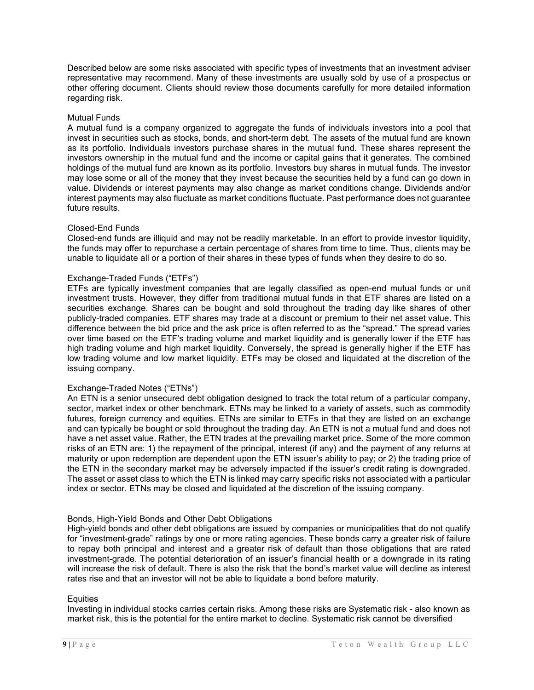Described below are some risks associated with specific types of investments that an investment adviser representative may recommend. Many of these investments are usually sold by use of a prospectus or other offering document. Clients should review those documents carefully for more detailed information regarding risk.

# Mutual Funds

A mutual fund is a company organized to aggregate the funds of individuals investors into a pool that invest in securities such as stocks, bonds, and short-term debt. The assets of the mutual fund are known as its portfolio. Individuals investors purchase shares in the mutual fund. These shares represent the investors ownership in the mutual fund and the income or capital gains that it generates. The combined holdings of the mutual fund are known as its portfolio. Investors buy shares in mutual funds. The investor may lose some or all of the money that they invest because the securities held by a fund can go down in value. Dividends or interest payments may also change as market conditions change. Dividends and/or interest payments may also fluctuate as market conditions fluctuate. Past performance does not guarantee future results.

## Closed-End Funds

Closed-end funds are illiquid and may not be readily marketable. In an effort to provide investor liquidity, the funds may offer to repurchase a certain percentage of shares from time to time. Thus, clients may be unable to liquidate all or a portion of their shares in these types of funds when they desire to do so.

## Exchange-Traded Funds ("ETFs")

ETFs are typically investment companies that are legally classified as open-end mutual funds or unit investment trusts. However, they differ from traditional mutual funds in that ETF shares are listed on a securities exchange. Shares can be bought and sold throughout the trading day like shares of other publicly-traded companies. ETF shares may trade at a discount or premium to their net asset value. This difference between the bid price and the ask price is often referred to as the "spread." The spread varies over time based on the ETF's trading volume and market liquidity and is generally lower if the ETF has high trading volume and high market liquidity. Conversely, the spread is generally higher if the ETF has low trading volume and low market liquidity. ETFs may be closed and liquidated at the discretion of the issuing company.

# Exchange-Traded Notes ("ETNs")

An ETN is a senior unsecured debt obligation designed to track the total return of a particular company, sector, market index or other benchmark. ETNs may be linked to a variety of assets, such as commodity futures, foreign currency and equities. ETNs are similar to ETFs in that they are listed on an exchange and can typically be bought or sold throughout the trading day. An ETN is not a mutual fund and does not have a net asset value. Rather, the ETN trades at the prevailing market price. Some of the more common risks of an ETN are: 1) the repayment of the principal, interest (if any) and the payment of any returns at maturity or upon redemption are dependent upon the ETN issuer's ability to pay; or 2) the trading price of the ETN in the secondary market may be adversely impacted if the issuer's credit rating is downgraded. The asset or asset class to which the ETN is linked may carry specific risks not associated with a particular index or sector. ETNs may be closed and liquidated at the discretion of the issuing company.

## Bonds, High-Yield Bonds and Other Debt Obligations

High-yield bonds and other debt obligations are issued by companies or municipalities that do not qualify for "investment-grade" ratings by one or more rating agencies. These bonds carry a greater risk of failure to repay both principal and interest and a greater risk of default than those obligations that are rated investment-grade. The potential deterioration of an issuer's financial health or a downgrade in its rating will increase the risk of default. There is also the risk that the bond's market value will decline as interest rates rise and that an investor will not be able to liquidate a bond before maturity.

#### **Equities**

Investing in individual stocks carries certain risks. Among these risks are Systematic risk - also known as market risk, this is the potential for the entire market to decline. Systematic risk cannot be diversified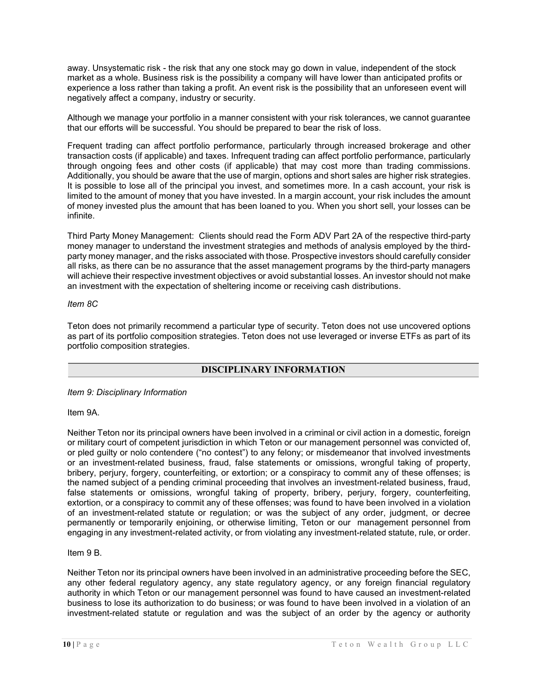away. Unsystematic risk - the risk that any one stock may go down in value, independent of the stock market as a whole. Business risk is the possibility a company will have lower than anticipated profits or experience a loss rather than taking a profit. An event risk is the possibility that an unforeseen event will negatively affect a company, industry or security.

Although we manage your portfolio in a manner consistent with your risk tolerances, we cannot guarantee that our efforts will be successful. You should be prepared to bear the risk of loss.

Frequent trading can affect portfolio performance, particularly through increased brokerage and other transaction costs (if applicable) and taxes. Infrequent trading can affect portfolio performance, particularly through ongoing fees and other costs (if applicable) that may cost more than trading commissions. Additionally, you should be aware that the use of margin, options and short sales are higher risk strategies. It is possible to lose all of the principal you invest, and sometimes more. In a cash account, your risk is limited to the amount of money that you have invested. In a margin account, your risk includes the amount of money invested plus the amount that has been loaned to you. When you short sell, your losses can be infinite.

Third Party Money Management: Clients should read the Form ADV Part 2A of the respective third-party money manager to understand the investment strategies and methods of analysis employed by the thirdparty money manager, and the risks associated with those. Prospective investors should carefully consider all risks, as there can be no assurance that the asset management programs by the third-party managers will achieve their respective investment objectives or avoid substantial losses. An investor should not make an investment with the expectation of sheltering income or receiving cash distributions.

# Item 8C

Teton does not primarily recommend a particular type of security. Teton does not use uncovered options as part of its portfolio composition strategies. Teton does not use leveraged or inverse ETFs as part of its portfolio composition strategies.

# DISCIPLINARY INFORMATION

Item 9: Disciplinary Information

Item 9A.

Neither Teton nor its principal owners have been involved in a criminal or civil action in a domestic, foreign or military court of competent jurisdiction in which Teton or our management personnel was convicted of, or pled guilty or nolo contendere ("no contest") to any felony; or misdemeanor that involved investments or an investment-related business, fraud, false statements or omissions, wrongful taking of property, bribery, perjury, forgery, counterfeiting, or extortion; or a conspiracy to commit any of these offenses; is the named subject of a pending criminal proceeding that involves an investment-related business, fraud, false statements or omissions, wrongful taking of property, bribery, perjury, forgery, counterfeiting, extortion, or a conspiracy to commit any of these offenses; was found to have been involved in a violation of an investment-related statute or regulation; or was the subject of any order, judgment, or decree permanently or temporarily enjoining, or otherwise limiting, Teton or our management personnel from engaging in any investment-related activity, or from violating any investment-related statute, rule, or order.

Item 9 B.

Neither Teton nor its principal owners have been involved in an administrative proceeding before the SEC, any other federal regulatory agency, any state regulatory agency, or any foreign financial regulatory authority in which Teton or our management personnel was found to have caused an investment-related business to lose its authorization to do business; or was found to have been involved in a violation of an investment-related statute or regulation and was the subject of an order by the agency or authority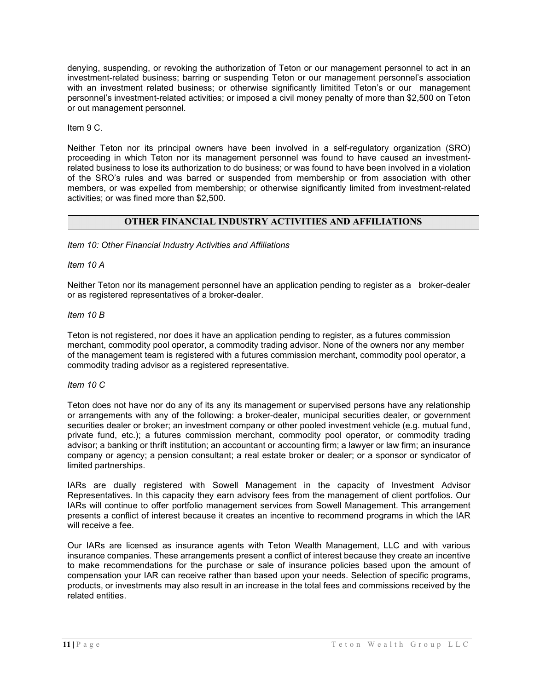denying, suspending, or revoking the authorization of Teton or our management personnel to act in an investment-related business; barring or suspending Teton or our management personnel's association with an investment related business; or otherwise significantly limitited Teton's or our management personnel's investment-related activities; or imposed a civil money penalty of more than \$2,500 on Teton or out management personnel.

Item 9 C.

Neither Teton nor its principal owners have been involved in a self-regulatory organization (SRO) proceeding in which Teton nor its management personnel was found to have caused an investmentrelated business to lose its authorization to do business; or was found to have been involved in a violation of the SRO's rules and was barred or suspended from membership or from association with other members, or was expelled from membership; or otherwise significantly limited from investment-related activities; or was fined more than \$2,500.

# OTHER FINANCIAL INDUSTRY ACTIVITIES AND AFFILIATIONS

Item 10: Other Financial Industry Activities and Affiliations

Item 10 A

Neither Teton nor its management personnel have an application pending to register as a broker-dealer or as registered representatives of a broker-dealer.

Item 10 B

Teton is not registered, nor does it have an application pending to register, as a futures commission merchant, commodity pool operator, a commodity trading advisor. None of the owners nor any member of the management team is registered with a futures commission merchant, commodity pool operator, a commodity trading advisor as a registered representative.

Item 10 C

Teton does not have nor do any of its any its management or supervised persons have any relationship or arrangements with any of the following: a broker-dealer, municipal securities dealer, or government securities dealer or broker; an investment company or other pooled investment vehicle (e.g. mutual fund, private fund, etc.); a futures commission merchant, commodity pool operator, or commodity trading advisor; a banking or thrift institution; an accountant or accounting firm; a lawyer or law firm; an insurance company or agency; a pension consultant; a real estate broker or dealer; or a sponsor or syndicator of limited partnerships.

IARs are dually registered with Sowell Management in the capacity of Investment Advisor Representatives. In this capacity they earn advisory fees from the management of client portfolios. Our IARs will continue to offer portfolio management services from Sowell Management. This arrangement presents a conflict of interest because it creates an incentive to recommend programs in which the IAR will receive a fee.

Our IARs are licensed as insurance agents with Teton Wealth Management, LLC and with various insurance companies. These arrangements present a conflict of interest because they create an incentive to make recommendations for the purchase or sale of insurance policies based upon the amount of compensation your IAR can receive rather than based upon your needs. Selection of specific programs, products, or investments may also result in an increase in the total fees and commissions received by the related entities.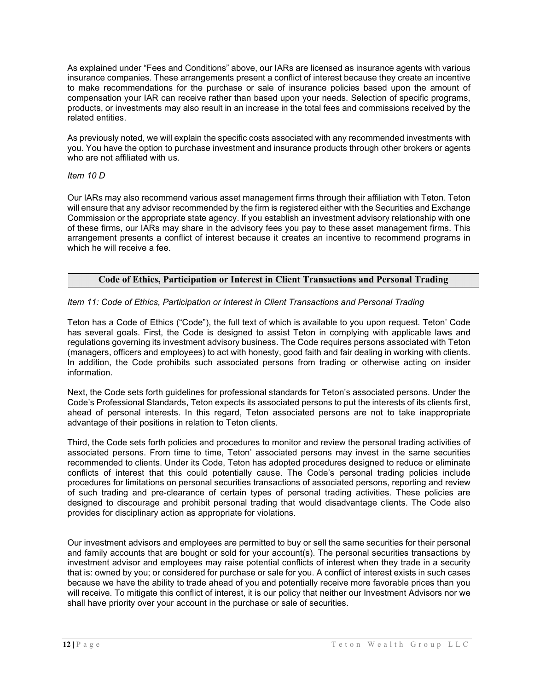As explained under "Fees and Conditions" above, our IARs are licensed as insurance agents with various insurance companies. These arrangements present a conflict of interest because they create an incentive to make recommendations for the purchase or sale of insurance policies based upon the amount of compensation your IAR can receive rather than based upon your needs. Selection of specific programs, products, or investments may also result in an increase in the total fees and commissions received by the related entities.

As previously noted, we will explain the specific costs associated with any recommended investments with you. You have the option to purchase investment and insurance products through other brokers or agents who are not affiliated with us.

# Item 10 D

Our IARs may also recommend various asset management firms through their affiliation with Teton. Teton will ensure that any advisor recommended by the firm is registered either with the Securities and Exchange Commission or the appropriate state agency. If you establish an investment advisory relationship with one of these firms, our IARs may share in the advisory fees you pay to these asset management firms. This arrangement presents a conflict of interest because it creates an incentive to recommend programs in which he will receive a fee.

# Code of Ethics, Participation or Interest in Client Transactions and Personal Trading

# Item 11: Code of Ethics, Participation or Interest in Client Transactions and Personal Trading

Teton has a Code of Ethics ("Code"), the full text of which is available to you upon request. Teton' Code has several goals. First, the Code is designed to assist Teton in complying with applicable laws and regulations governing its investment advisory business. The Code requires persons associated with Teton (managers, officers and employees) to act with honesty, good faith and fair dealing in working with clients. In addition, the Code prohibits such associated persons from trading or otherwise acting on insider information.

Next, the Code sets forth guidelines for professional standards for Teton's associated persons. Under the Code's Professional Standards, Teton expects its associated persons to put the interests of its clients first, ahead of personal interests. In this regard, Teton associated persons are not to take inappropriate advantage of their positions in relation to Teton clients.

Third, the Code sets forth policies and procedures to monitor and review the personal trading activities of associated persons. From time to time, Teton' associated persons may invest in the same securities recommended to clients. Under its Code, Teton has adopted procedures designed to reduce or eliminate conflicts of interest that this could potentially cause. The Code's personal trading policies include procedures for limitations on personal securities transactions of associated persons, reporting and review of such trading and pre-clearance of certain types of personal trading activities. These policies are designed to discourage and prohibit personal trading that would disadvantage clients. The Code also provides for disciplinary action as appropriate for violations.

Our investment advisors and employees are permitted to buy or sell the same securities for their personal and family accounts that are bought or sold for your account(s). The personal securities transactions by investment advisor and employees may raise potential conflicts of interest when they trade in a security that is: owned by you; or considered for purchase or sale for you. A conflict of interest exists in such cases because we have the ability to trade ahead of you and potentially receive more favorable prices than you will receive. To mitigate this conflict of interest, it is our policy that neither our Investment Advisors nor we shall have priority over your account in the purchase or sale of securities.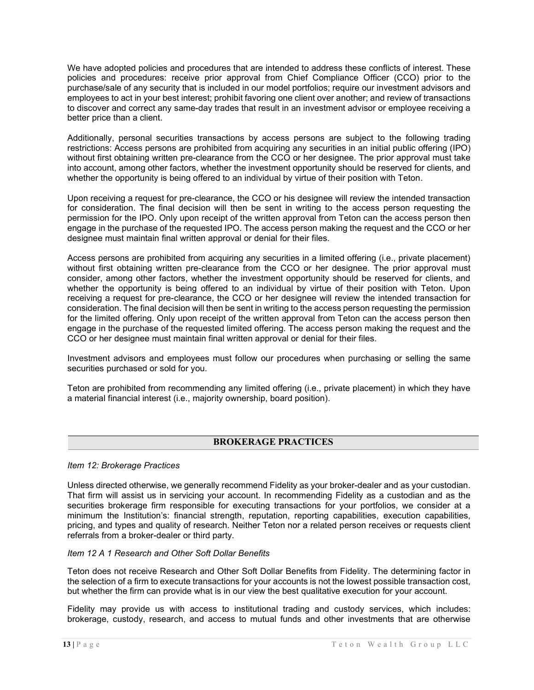We have adopted policies and procedures that are intended to address these conflicts of interest. These policies and procedures: receive prior approval from Chief Compliance Officer (CCO) prior to the purchase/sale of any security that is included in our model portfolios; require our investment advisors and employees to act in your best interest; prohibit favoring one client over another; and review of transactions to discover and correct any same-day trades that result in an investment advisor or employee receiving a better price than a client.

Additionally, personal securities transactions by access persons are subject to the following trading restrictions: Access persons are prohibited from acquiring any securities in an initial public offering (IPO) without first obtaining written pre-clearance from the CCO or her designee. The prior approval must take into account, among other factors, whether the investment opportunity should be reserved for clients, and whether the opportunity is being offered to an individual by virtue of their position with Teton.

Upon receiving a request for pre-clearance, the CCO or his designee will review the intended transaction for consideration. The final decision will then be sent in writing to the access person requesting the permission for the IPO. Only upon receipt of the written approval from Teton can the access person then engage in the purchase of the requested IPO. The access person making the request and the CCO or her designee must maintain final written approval or denial for their files.

Access persons are prohibited from acquiring any securities in a limited offering (i.e., private placement) without first obtaining written pre-clearance from the CCO or her designee. The prior approval must consider, among other factors, whether the investment opportunity should be reserved for clients, and whether the opportunity is being offered to an individual by virtue of their position with Teton. Upon receiving a request for pre-clearance, the CCO or her designee will review the intended transaction for consideration. The final decision will then be sent in writing to the access person requesting the permission for the limited offering. Only upon receipt of the written approval from Teton can the access person then engage in the purchase of the requested limited offering. The access person making the request and the CCO or her designee must maintain final written approval or denial for their files.

Investment advisors and employees must follow our procedures when purchasing or selling the same securities purchased or sold for you.

Teton are prohibited from recommending any limited offering (i.e., private placement) in which they have a material financial interest (i.e., majority ownership, board position).

# BROKERAGE PRACTICES

## Item 12: Brokerage Practices

Unless directed otherwise, we generally recommend Fidelity as your broker-dealer and as your custodian. That firm will assist us in servicing your account. In recommending Fidelity as a custodian and as the securities brokerage firm responsible for executing transactions for your portfolios, we consider at a minimum the Institution's: financial strength, reputation, reporting capabilities, execution capabilities, pricing, and types and quality of research. Neither Teton nor a related person receives or requests client referrals from a broker-dealer or third party.

## Item 12 A 1 Research and Other Soft Dollar Benefits

Teton does not receive Research and Other Soft Dollar Benefits from Fidelity. The determining factor in the selection of a firm to execute transactions for your accounts is not the lowest possible transaction cost, but whether the firm can provide what is in our view the best qualitative execution for your account.

Fidelity may provide us with access to institutional trading and custody services, which includes: brokerage, custody, research, and access to mutual funds and other investments that are otherwise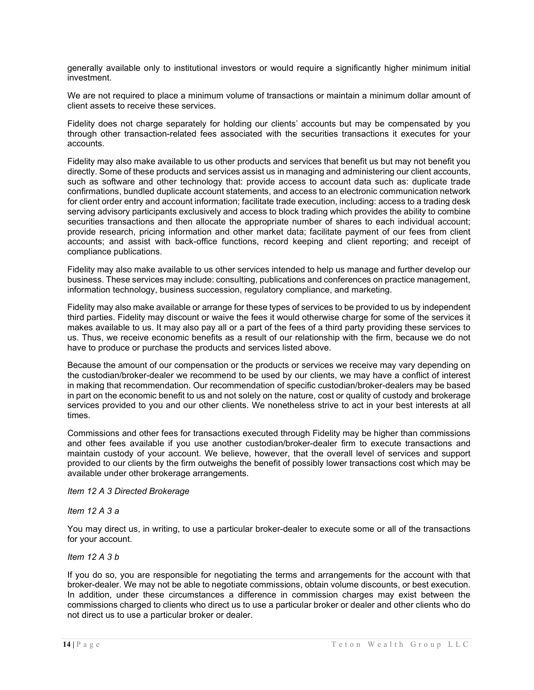generally available only to institutional investors or would require a significantly higher minimum initial investment.

We are not required to place a minimum volume of transactions or maintain a minimum dollar amount of client assets to receive these services.

Fidelity does not charge separately for holding our clients' accounts but may be compensated by you through other transaction-related fees associated with the securities transactions it executes for your accounts.

Fidelity may also make available to us other products and services that benefit us but may not benefit you directly. Some of these products and services assist us in managing and administering our client accounts, such as software and other technology that: provide access to account data such as: duplicate trade confirmations, bundled duplicate account statements, and access to an electronic communication network for client order entry and account information; facilitate trade execution, including: access to a trading desk serving advisory participants exclusively and access to block trading which provides the ability to combine securities transactions and then allocate the appropriate number of shares to each individual account; provide research, pricing information and other market data; facilitate payment of our fees from client accounts; and assist with back-office functions, record keeping and client reporting; and receipt of compliance publications.

Fidelity may also make available to us other services intended to help us manage and further develop our business. These services may include: consulting, publications and conferences on practice management, information technology, business succession, regulatory compliance, and marketing.

Fidelity may also make available or arrange for these types of services to be provided to us by independent third parties. Fidelity may discount or waive the fees it would otherwise charge for some of the services it makes available to us. It may also pay all or a part of the fees of a third party providing these services to us. Thus, we receive economic benefits as a result of our relationship with the firm, because we do not have to produce or purchase the products and services listed above.

Because the amount of our compensation or the products or services we receive may vary depending on the custodian/broker-dealer we recommend to be used by our clients, we may have a conflict of interest in making that recommendation. Our recommendation of specific custodian/broker-dealers may be based in part on the economic benefit to us and not solely on the nature, cost or quality of custody and brokerage services provided to you and our other clients. We nonetheless strive to act in your best interests at all times.

Commissions and other fees for transactions executed through Fidelity may be higher than commissions and other fees available if you use another custodian/broker-dealer firm to execute transactions and maintain custody of your account. We believe, however, that the overall level of services and support provided to our clients by the firm outweighs the benefit of possibly lower transactions cost which may be available under other brokerage arrangements.

Item 12 A 3 Directed Brokerage

Item 12 A 3 a

You may direct us, in writing, to use a particular broker-dealer to execute some or all of the transactions for your account.

Item 12 A 3 b

If you do so, you are responsible for negotiating the terms and arrangements for the account with that broker-dealer. We may not be able to negotiate commissions, obtain volume discounts, or best execution. In addition, under these circumstances a difference in commission charges may exist between the commissions charged to clients who direct us to use a particular broker or dealer and other clients who do not direct us to use a particular broker or dealer.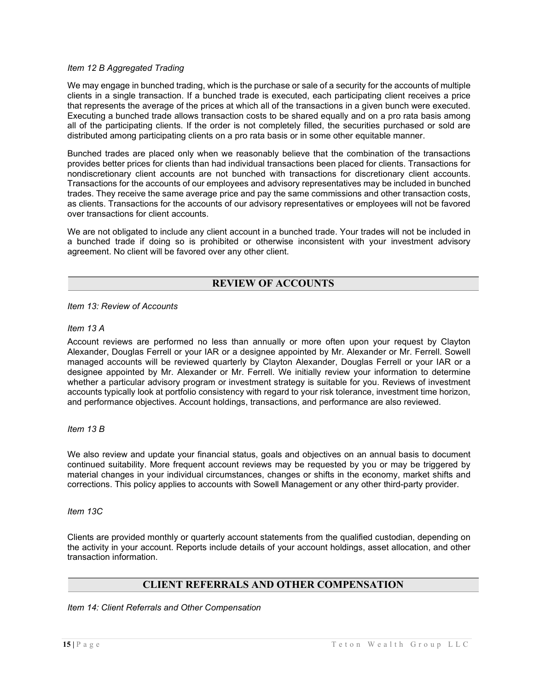# Item 12 B Aggregated Trading

We may engage in bunched trading, which is the purchase or sale of a security for the accounts of multiple clients in a single transaction. If a bunched trade is executed, each participating client receives a price that represents the average of the prices at which all of the transactions in a given bunch were executed. Executing a bunched trade allows transaction costs to be shared equally and on a pro rata basis among all of the participating clients. If the order is not completely filled, the securities purchased or sold are distributed among participating clients on a pro rata basis or in some other equitable manner.

Bunched trades are placed only when we reasonably believe that the combination of the transactions provides better prices for clients than had individual transactions been placed for clients. Transactions for nondiscretionary client accounts are not bunched with transactions for discretionary client accounts. Transactions for the accounts of our employees and advisory representatives may be included in bunched trades. They receive the same average price and pay the same commissions and other transaction costs, as clients. Transactions for the accounts of our advisory representatives or employees will not be favored over transactions for client accounts.

We are not obligated to include any client account in a bunched trade. Your trades will not be included in a bunched trade if doing so is prohibited or otherwise inconsistent with your investment advisory agreement. No client will be favored over any other client.

# REVIEW OF ACCOUNTS

Item 13: Review of Accounts

Item 13 A

Account reviews are performed no less than annually or more often upon your request by Clayton Alexander, Douglas Ferrell or your IAR or a designee appointed by Mr. Alexander or Mr. Ferrell. Sowell managed accounts will be reviewed quarterly by Clayton Alexander, Douglas Ferrell or your IAR or a designee appointed by Mr. Alexander or Mr. Ferrell. We initially review your information to determine whether a particular advisory program or investment strategy is suitable for you. Reviews of investment accounts typically look at portfolio consistency with regard to your risk tolerance, investment time horizon, and performance objectives. Account holdings, transactions, and performance are also reviewed.

Item 13 B

We also review and update your financial status, goals and objectives on an annual basis to document continued suitability. More frequent account reviews may be requested by you or may be triggered by material changes in your individual circumstances, changes or shifts in the economy, market shifts and corrections. This policy applies to accounts with Sowell Management or any other third-party provider.

Item 13C

Clients are provided monthly or quarterly account statements from the qualified custodian, depending on the activity in your account. Reports include details of your account holdings, asset allocation, and other transaction information.

# CLIENT REFERRALS AND OTHER COMPENSATION

Item 14: Client Referrals and Other Compensation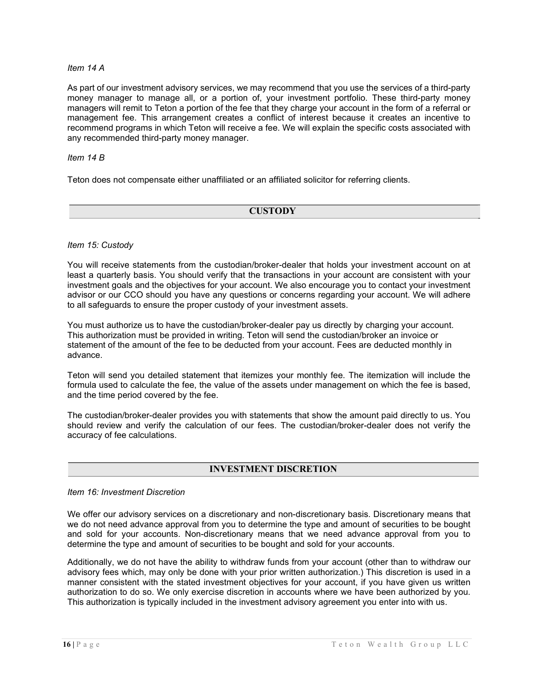# Item 14 A

As part of our investment advisory services, we may recommend that you use the services of a third-party money manager to manage all, or a portion of, your investment portfolio. These third-party money managers will remit to Teton a portion of the fee that they charge your account in the form of a referral or management fee. This arrangement creates a conflict of interest because it creates an incentive to recommend programs in which Teton will receive a fee. We will explain the specific costs associated with any recommended third-party money manager.

# Item 14 B

Teton does not compensate either unaffiliated or an affiliated solicitor for referring clients.

# **CUSTODY**

## Item 15: Custody

You will receive statements from the custodian/broker-dealer that holds your investment account on at least a quarterly basis. You should verify that the transactions in your account are consistent with your investment goals and the objectives for your account. We also encourage you to contact your investment advisor or our CCO should you have any questions or concerns regarding your account. We will adhere to all safeguards to ensure the proper custody of your investment assets.

You must authorize us to have the custodian/broker-dealer pay us directly by charging your account. This authorization must be provided in writing. Teton will send the custodian/broker an invoice or statement of the amount of the fee to be deducted from your account. Fees are deducted monthly in advance.

Teton will send you detailed statement that itemizes your monthly fee. The itemization will include the formula used to calculate the fee, the value of the assets under management on which the fee is based, and the time period covered by the fee.

The custodian/broker-dealer provides you with statements that show the amount paid directly to us. You should review and verify the calculation of our fees. The custodian/broker-dealer does not verify the accuracy of fee calculations.

# INVESTMENT DISCRETION

## Item 16: Investment Discretion

We offer our advisory services on a discretionary and non-discretionary basis. Discretionary means that we do not need advance approval from you to determine the type and amount of securities to be bought and sold for your accounts. Non-discretionary means that we need advance approval from you to determine the type and amount of securities to be bought and sold for your accounts.

Additionally, we do not have the ability to withdraw funds from your account (other than to withdraw our advisory fees which, may only be done with your prior written authorization.) This discretion is used in a manner consistent with the stated investment objectives for your account, if you have given us written authorization to do so. We only exercise discretion in accounts where we have been authorized by you. This authorization is typically included in the investment advisory agreement you enter into with us.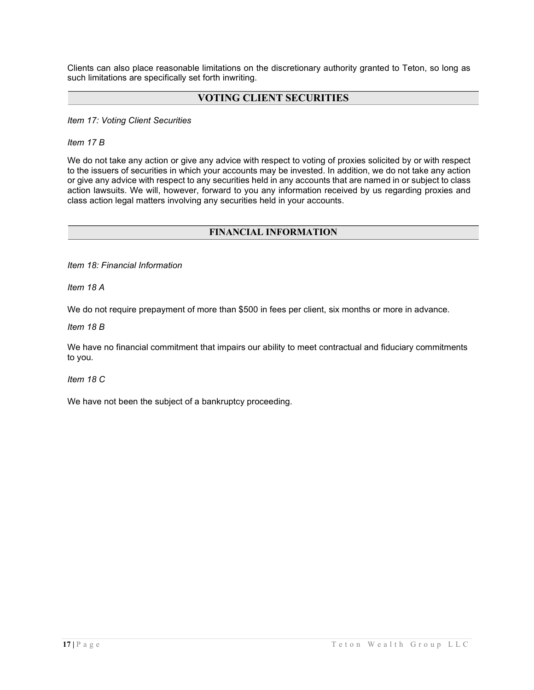Clients can also place reasonable limitations on the discretionary authority granted to Teton, so long as such limitations are specifically set forth inwriting.

# VOTING CLIENT SECURITIES

Item 17: Voting Client Securities

Item 17 B

We do not take any action or give any advice with respect to voting of proxies solicited by or with respect to the issuers of securities in which your accounts may be invested. In addition, we do not take any action or give any advice with respect to any securities held in any accounts that are named in or subject to class action lawsuits. We will, however, forward to you any information received by us regarding proxies and class action legal matters involving any securities held in your accounts.

# FINANCIAL INFORMATION

Item 18: Financial Information

Item 18 A

We do not require prepayment of more than \$500 in fees per client, six months or more in advance.

Item 18 B

We have no financial commitment that impairs our ability to meet contractual and fiduciary commitments to you.

Item 18 C

We have not been the subject of a bankruptcy proceeding.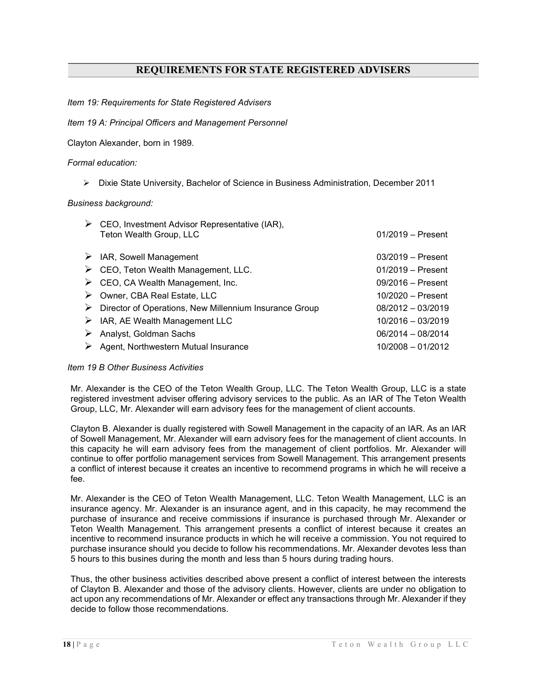# REQUIREMENTS FOR STATE REGISTERED ADVISERS

Item 19: Requirements for State Registered Advisers

## Item 19 A: Principal Officers and Management Personnel

Clayton Alexander, born in 1989.

# Formal education:

Dixie State University, Bachelor of Science in Business Administration, December 2011

## Business background:

| $\triangleright$ CEO, Investment Advisor Representative (IAR),<br>Teton Wealth Group, LLC | $01/2019 -$ Present |
|-------------------------------------------------------------------------------------------|---------------------|
| $\triangleright$ IAR, Sowell Management                                                   | $03/2019 -$ Present |
| $\triangleright$ CEO, Teton Wealth Management, LLC.                                       | $01/2019$ – Present |
| $\triangleright$ CEO, CA Wealth Management, Inc.                                          | $09/2016$ – Present |
| > Owner, CBA Real Estate, LLC                                                             | $10/2020$ - Present |
| $\triangleright$ Director of Operations, New Millennium Insurance Group                   | $08/2012 - 03/2019$ |
| $\triangleright$ IAR, AE Wealth Management LLC                                            | $10/2016 - 03/2019$ |
| $\triangleright$ Analyst, Goldman Sachs                                                   | 06/2014 - 08/2014   |
| $\triangleright$ Agent, Northwestern Mutual Insurance                                     | $10/2008 - 01/2012$ |
|                                                                                           |                     |

## Item 19 B Other Business Activities

Mr. Alexander is the CEO of the Teton Wealth Group, LLC. The Teton Wealth Group, LLC is a state registered investment adviser offering advisory services to the public. As an IAR of The Teton Wealth Group, LLC, Mr. Alexander will earn advisory fees for the management of client accounts.

Clayton B. Alexander is dually registered with Sowell Management in the capacity of an IAR. As an IAR of Sowell Management, Mr. Alexander will earn advisory fees for the management of client accounts. In this capacity he will earn advisory fees from the management of client portfolios. Mr. Alexander will continue to offer portfolio management services from Sowell Management. This arrangement presents a conflict of interest because it creates an incentive to recommend programs in which he will receive a fee.

Mr. Alexander is the CEO of Teton Wealth Management, LLC. Teton Wealth Management, LLC is an insurance agency. Mr. Alexander is an insurance agent, and in this capacity, he may recommend the purchase of insurance and receive commissions if insurance is purchased through Mr. Alexander or Teton Wealth Management. This arrangement presents a conflict of interest because it creates an incentive to recommend insurance products in which he will receive a commission. You not required to purchase insurance should you decide to follow his recommendations. Mr. Alexander devotes less than 5 hours to this busines during the month and less than 5 hours during trading hours.

Thus, the other business activities described above present a conflict of interest between the interests of Clayton B. Alexander and those of the advisory clients. However, clients are under no obligation to act upon any recommendations of Mr. Alexander or effect any transactions through Mr. Alexander if they decide to follow those recommendations.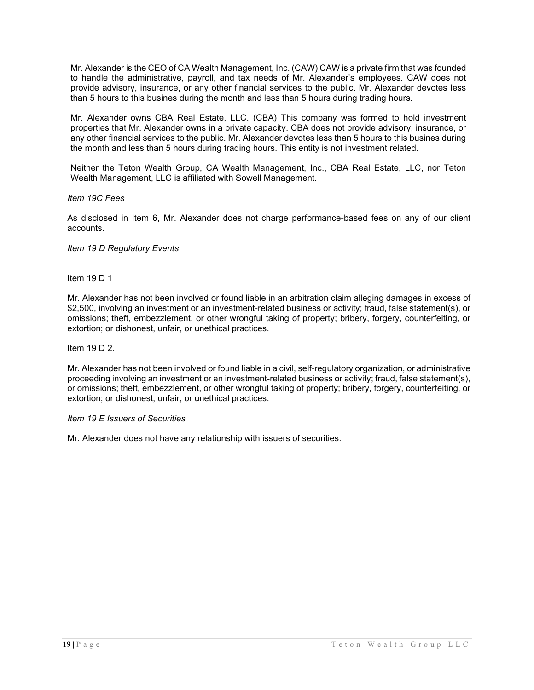Mr. Alexander is the CEO of CA Wealth Management, Inc. (CAW) CAW is a private firm that was founded to handle the administrative, payroll, and tax needs of Mr. Alexander's employees. CAW does not provide advisory, insurance, or any other financial services to the public. Mr. Alexander devotes less than 5 hours to this busines during the month and less than 5 hours during trading hours.

Mr. Alexander owns CBA Real Estate, LLC. (CBA) This company was formed to hold investment properties that Mr. Alexander owns in a private capacity. CBA does not provide advisory, insurance, or any other financial services to the public. Mr. Alexander devotes less than 5 hours to this busines during the month and less than 5 hours during trading hours. This entity is not investment related.

Neither the Teton Wealth Group, CA Wealth Management, Inc., CBA Real Estate, LLC, nor Teton Wealth Management, LLC is affiliated with Sowell Management.

Item 19C Fees

As disclosed in Item 6, Mr. Alexander does not charge performance-based fees on any of our client accounts.

Item 19 D Regulatory Events

Item 19 D 1

Mr. Alexander has not been involved or found liable in an arbitration claim alleging damages in excess of \$2,500, involving an investment or an investment-related business or activity; fraud, false statement(s), or omissions; theft, embezzlement, or other wrongful taking of property; bribery, forgery, counterfeiting, or extortion; or dishonest, unfair, or unethical practices.

Item 19 D 2.

Mr. Alexander has not been involved or found liable in a civil, self-regulatory organization, or administrative proceeding involving an investment or an investment-related business or activity; fraud, false statement(s), or omissions; theft, embezzlement, or other wrongful taking of property; bribery, forgery, counterfeiting, or extortion; or dishonest, unfair, or unethical practices.

## Item 19 E Issuers of Securities

Mr. Alexander does not have any relationship with issuers of securities.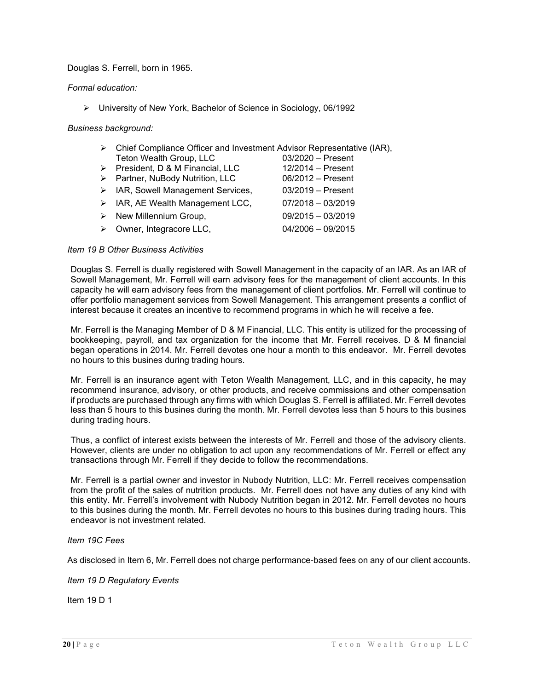# Douglas S. Ferrell, born in 1965.

# Formal education:

University of New York, Bachelor of Science in Sociology, 06/1992

# Business background:

|                         | $\triangleright$ Chief Compliance Officer and Investment Advisor Representative (IAR), |
|-------------------------|----------------------------------------------------------------------------------------|
| Teton Wealth Group, LLC | 03/2020 – Present                                                                      |
|                         | $\sim$ $\sim$ $\sim$ $\sim$ $\sim$                                                     |

President, D & M Financial, LLC 12/2014 – Present ▶ Partner, NuBody Nutrition, LLC 06/2012 – Present ▶ IAR, Sowell Management Services, 03/2019 – Present  $\triangleright$  IAR, AE Wealth Management LCC, 07/2018 – 03/2019  $\triangleright$  New Millennium Group, 09/2015 – 03/2019  $\triangleright$  Owner, Integracore LLC, 04/2006 – 09/2015

# Item 19 B Other Business Activities

Douglas S. Ferrell is dually registered with Sowell Management in the capacity of an IAR. As an IAR of Sowell Management, Mr. Ferrell will earn advisory fees for the management of client accounts. In this capacity he will earn advisory fees from the management of client portfolios. Mr. Ferrell will continue to offer portfolio management services from Sowell Management. This arrangement presents a conflict of interest because it creates an incentive to recommend programs in which he will receive a fee.

Mr. Ferrell is the Managing Member of D & M Financial, LLC. This entity is utilized for the processing of bookkeeping, payroll, and tax organization for the income that Mr. Ferrell receives. D & M financial began operations in 2014. Mr. Ferrell devotes one hour a month to this endeavor. Mr. Ferrell devotes no hours to this busines during trading hours.

Mr. Ferrell is an insurance agent with Teton Wealth Management, LLC, and in this capacity, he may recommend insurance, advisory, or other products, and receive commissions and other compensation if products are purchased through any firms with which Douglas S. Ferrell is affiliated. Mr. Ferrell devotes less than 5 hours to this busines during the month. Mr. Ferrell devotes less than 5 hours to this busines during trading hours.

Thus, a conflict of interest exists between the interests of Mr. Ferrell and those of the advisory clients. However, clients are under no obligation to act upon any recommendations of Mr. Ferrell or effect any transactions through Mr. Ferrell if they decide to follow the recommendations.

Mr. Ferrell is a partial owner and investor in Nubody Nutrition, LLC: Mr. Ferrell receives compensation from the profit of the sales of nutrition products. Mr. Ferrell does not have any duties of any kind with this entity. Mr. Ferrell's involvement with Nubody Nutrition began in 2012. Mr. Ferrell devotes no hours to this busines during the month. Mr. Ferrell devotes no hours to this busines during trading hours. This endeavor is not investment related.

## Item 19C Fees

As disclosed in Item 6, Mr. Ferrell does not charge performance-based fees on any of our client accounts.

Item 19 D Regulatory Events

Item 19 D 1